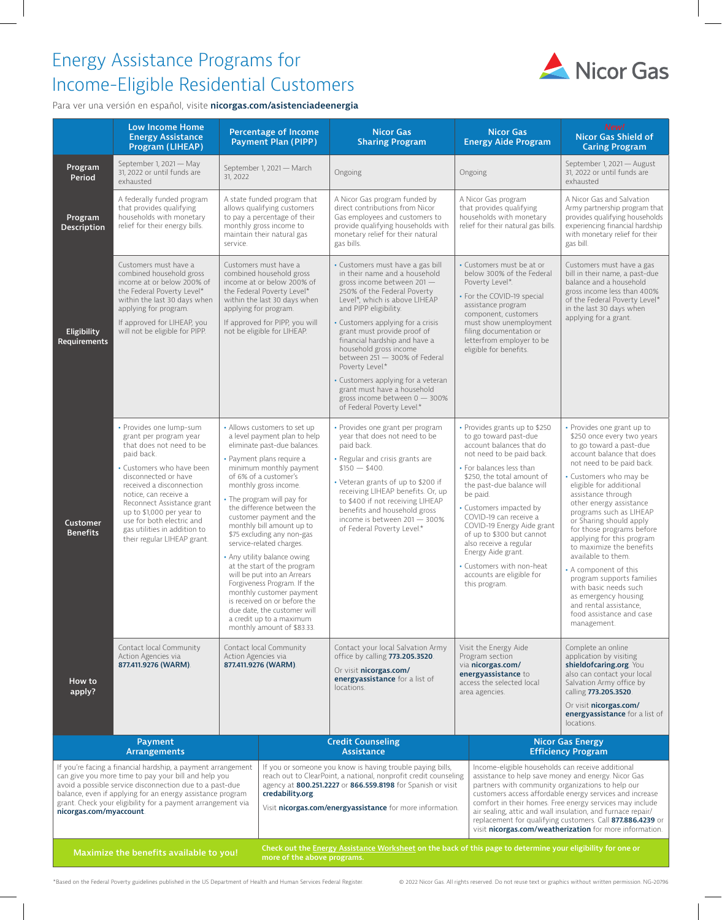# Energy Assistance Programs for Income-Eligible Residential Customers



Para ver una versión en español, visite **[nicorgas.com/asistenciadeenergia](https://www.nicorgas.com/asistenciadeenergia)**

|                                                                                                                                                                                                                                                                                                                                                                 | <b>Low Income Home</b><br><b>Energy Assistance</b><br>Program (LIHEAP)                                                                                                                                                                                                                                                                                       |                                                                                                                                                                                                                                                                                                                                                                                                                                                                                                                                                                                                                                                                                                                                                  | <b>Percentage of Income</b><br><b>Payment Plan (PIPP)</b>                                                                                                                                                                                                                                           | <b>Nicor Gas</b><br><b>Sharing Program</b>                                                                                                                                                                                                                                                                                                                                                                                                                                                                       | <b>Nicor Gas</b><br><b>Energy Aide Program</b>                                                                                                                                                                                                                                                                                                                                                                                                                                                             | New!<br>Nicor Gas Shield of<br><b>Caring Program</b>                                                                                                                                                                                                                                                                                                                                                                                                                                                                                                                                              |  |
|-----------------------------------------------------------------------------------------------------------------------------------------------------------------------------------------------------------------------------------------------------------------------------------------------------------------------------------------------------------------|--------------------------------------------------------------------------------------------------------------------------------------------------------------------------------------------------------------------------------------------------------------------------------------------------------------------------------------------------------------|--------------------------------------------------------------------------------------------------------------------------------------------------------------------------------------------------------------------------------------------------------------------------------------------------------------------------------------------------------------------------------------------------------------------------------------------------------------------------------------------------------------------------------------------------------------------------------------------------------------------------------------------------------------------------------------------------------------------------------------------------|-----------------------------------------------------------------------------------------------------------------------------------------------------------------------------------------------------------------------------------------------------------------------------------------------------|------------------------------------------------------------------------------------------------------------------------------------------------------------------------------------------------------------------------------------------------------------------------------------------------------------------------------------------------------------------------------------------------------------------------------------------------------------------------------------------------------------------|------------------------------------------------------------------------------------------------------------------------------------------------------------------------------------------------------------------------------------------------------------------------------------------------------------------------------------------------------------------------------------------------------------------------------------------------------------------------------------------------------------|---------------------------------------------------------------------------------------------------------------------------------------------------------------------------------------------------------------------------------------------------------------------------------------------------------------------------------------------------------------------------------------------------------------------------------------------------------------------------------------------------------------------------------------------------------------------------------------------------|--|
| Program<br>Period                                                                                                                                                                                                                                                                                                                                               | September 1, 2021 - May<br>31, 2022 or until funds are<br>exhausted                                                                                                                                                                                                                                                                                          | 31, 2022                                                                                                                                                                                                                                                                                                                                                                                                                                                                                                                                                                                                                                                                                                                                         | September 1, 2021 - March                                                                                                                                                                                                                                                                           | Ongoing                                                                                                                                                                                                                                                                                                                                                                                                                                                                                                          | Ongoing                                                                                                                                                                                                                                                                                                                                                                                                                                                                                                    | September 1, 2021 - August<br>31, 2022 or until funds are<br>exhausted                                                                                                                                                                                                                                                                                                                                                                                                                                                                                                                            |  |
| Program<br><b>Description</b>                                                                                                                                                                                                                                                                                                                                   | A federally funded program<br>that provides qualifying<br>households with monetary<br>relief for their energy bills.                                                                                                                                                                                                                                         | service.                                                                                                                                                                                                                                                                                                                                                                                                                                                                                                                                                                                                                                                                                                                                         | A state funded program that<br>allows qualifying customers<br>to pay a percentage of their<br>monthly gross income to<br>maintain their natural gas                                                                                                                                                 | A Nicor Gas program funded by<br>direct contributions from Nicor<br>Gas employees and customers to<br>provide qualifying households with<br>monetary relief for their natural<br>gas bills.                                                                                                                                                                                                                                                                                                                      | A Nicor Gas program<br>that provides qualifying<br>households with monetary<br>relief for their natural gas bills.                                                                                                                                                                                                                                                                                                                                                                                         | A Nicor Gas and Salvation<br>Army partnership program that<br>provides qualifying households<br>experiencing financial hardship<br>with monetary relief for their<br>gas bill.                                                                                                                                                                                                                                                                                                                                                                                                                    |  |
| Eligibility<br>Requirements                                                                                                                                                                                                                                                                                                                                     | Customers must have a<br>combined household gross<br>income at or below 200% of<br>the Federal Poverty Level*<br>within the last 30 days when<br>applying for program.<br>If approved for LIHEAP, you<br>will not be eligible for PIPP.                                                                                                                      |                                                                                                                                                                                                                                                                                                                                                                                                                                                                                                                                                                                                                                                                                                                                                  | Customers must have a<br>combined household gross<br>income at or below 200% of<br>the Federal Poverty Level*<br>within the last 30 days when<br>applying for program.<br>If approved for PIPP, you will<br>not be eligible for LIHEAP.                                                             | · Customers must have a gas bill<br>in their name and a household<br>gross income between $201 -$<br>250% of the Federal Poverty<br>Level*, which is above LIHEAP<br>and PIPP eligibility.<br>Customers applying for a crisis<br>grant must provide proof of<br>financial hardship and have a<br>household gross income<br>between 251 - 300% of Federal<br>Poverty Level.*<br>Customers applying for a veteran<br>grant must have a household<br>gross income between $0 - 300\%$<br>of Federal Poverty Level.* | • Customers must be at or<br>below 300% of the Federal<br>Poverty Level*.<br>• For the COVID-19 special<br>assistance program<br>component, customers<br>must show unemployment<br>filing documentation or<br>letterfrom employer to be<br>eligible for benefits.                                                                                                                                                                                                                                          | Customers must have a gas<br>bill in their name, a past-due<br>balance and a household<br>gross income less than 400%<br>of the Federal Poverty Level*<br>in the last 30 days when<br>applying for a grant.                                                                                                                                                                                                                                                                                                                                                                                       |  |
| <b>Customer</b><br><b>Benefits</b>                                                                                                                                                                                                                                                                                                                              | • Provides one lump-sum<br>grant per program year<br>that does not need to be<br>paid back.<br>• Customers who have been<br>disconnected or have<br>received a disconnection<br>notice, can receive a<br>Reconnect Assistance grant<br>up to \$1,000 per year to<br>use for both electric and<br>gas utilities in addition to<br>their regular LIHEAP grant. | • Allows customers to set up<br>a level payment plan to help<br>eliminate past-due balances.<br>• Payment plans require a<br>minimum monthly payment<br>of 6% of a customer's<br>monthly gross income.<br>• The program will pay for<br>the difference between the<br>customer payment and the<br>monthly bill amount up to<br>\$75 excluding any non-gas<br>service-related charges.<br>• Any utility balance owing<br>at the start of the program<br>will be put into an Arrears<br>Forgiveness Program. If the<br>monthly customer payment<br>is received on or before the<br>due date, the customer will<br>a credit up to a maximum<br>monthly amount of \$83.33.<br>Contact local Community<br>Action Agencies via<br>877.411.9276 (WARM). |                                                                                                                                                                                                                                                                                                     | · Provides one grant per program<br>year that does not need to be<br>paid back.<br>• Regular and crisis grants are<br>$$150 - $400$ .<br>• Veteran grants of up to \$200 if<br>receiving LIHEAP benefits. Or, up<br>to \$400 if not receiving LIHEAP<br>benefits and household gross<br>income is between 201 - 300%<br>of Federal Poverty Level.*                                                                                                                                                               | • Provides grants up to \$250<br>to go toward past-due<br>account balances that do<br>not need to be paid back.<br>• For balances less than<br>\$250, the total amount of<br>the past-due balance will<br>be paid.<br>• Customers impacted by<br>COVID-19 can receive a<br>COVID-19 Energy Aide grant<br>of up to \$300 but cannot<br>also receive a regular<br>Energy Aide grant.<br>• Customers with non-heat<br>accounts are eligible for<br>this program.                                              | • Provides one grant up to<br>\$250 once every two years<br>to go toward a past-due<br>account balance that does<br>not need to be paid back.<br>• Customers who may be<br>eligible for additional<br>assistance through<br>other energy assistance<br>programs such as LIHEAP<br>or Sharing should apply<br>for those programs before<br>applying for this program<br>to maximize the benefits<br>available to them.<br>• A component of this<br>program supports families<br>with basic needs such<br>as emergency housing<br>and rental assistance,<br>food assistance and case<br>management. |  |
| How to<br>apply?                                                                                                                                                                                                                                                                                                                                                | Contact local Community<br>Action Agencies via<br>877.411.9276 (WARM).                                                                                                                                                                                                                                                                                       |                                                                                                                                                                                                                                                                                                                                                                                                                                                                                                                                                                                                                                                                                                                                                  |                                                                                                                                                                                                                                                                                                     | Contact your local Salvation Army<br>office by calling 773.205.3520<br>Or visit nicorgas.com/<br>energyassistance for a list of<br>locations.                                                                                                                                                                                                                                                                                                                                                                    | Visit the Energy Aide<br>Program section<br>via nicorgas.com/<br>energyassistance to<br>access the selected local<br>area agencies.                                                                                                                                                                                                                                                                                                                                                                        | Complete an online<br>application by visiting<br>shieldofcaring.org. You<br>also can contact your local<br>Salvation Army office by<br>calling 773.205.3520.<br>Or visit nicorgas.com/<br>energyassistance for a list of                                                                                                                                                                                                                                                                                                                                                                          |  |
|                                                                                                                                                                                                                                                                                                                                                                 | Payment                                                                                                                                                                                                                                                                                                                                                      |                                                                                                                                                                                                                                                                                                                                                                                                                                                                                                                                                                                                                                                                                                                                                  |                                                                                                                                                                                                                                                                                                     | <b>Credit Counseling</b>                                                                                                                                                                                                                                                                                                                                                                                                                                                                                         |                                                                                                                                                                                                                                                                                                                                                                                                                                                                                                            | locations.<br><b>Nicor Gas Energy</b>                                                                                                                                                                                                                                                                                                                                                                                                                                                                                                                                                             |  |
| <b>Arrangements</b><br>If you're facing a financial hardship, a payment arrangement<br>can give you more time to pay your bill and help you<br>avoid a possible service disconnection due to a past-due<br>balance, even if applying for an energy assistance program<br>grant. Check your eligibility for a payment arrangement via<br>nicorgas.com/myaccount. |                                                                                                                                                                                                                                                                                                                                                              |                                                                                                                                                                                                                                                                                                                                                                                                                                                                                                                                                                                                                                                                                                                                                  | <b>Assistance</b><br>If you or someone you know is having trouble paying bills,<br>reach out to ClearPoint, a national, nonprofit credit counseling<br>agency at 800.251.2227 or 866.559.8198 for Spanish or visit<br>credability.org.<br>Visit nicorgas.com/energyassistance for more information. |                                                                                                                                                                                                                                                                                                                                                                                                                                                                                                                  | <b>Efficiency Program</b><br>Income-eligible households can receive additional<br>assistance to help save money and energy. Nicor Gas<br>partners with community organizations to help our<br>customers access affordable energy services and increase<br>comfort in their homes. Free energy services may include<br>air sealing, attic and wall insulation, and furnace repair/<br>replacement for qualifying customers. Call 877.886.4239 or<br>visit nicorgas.com/weatherization for more information. |                                                                                                                                                                                                                                                                                                                                                                                                                                                                                                                                                                                                   |  |
| Maximize the benefits available to you!                                                                                                                                                                                                                                                                                                                         |                                                                                                                                                                                                                                                                                                                                                              |                                                                                                                                                                                                                                                                                                                                                                                                                                                                                                                                                                                                                                                                                                                                                  | Check out the Energy Assistance Worksheet on the back of this page to determine your eligibility for one or<br>more of the above programs.                                                                                                                                                          |                                                                                                                                                                                                                                                                                                                                                                                                                                                                                                                  |                                                                                                                                                                                                                                                                                                                                                                                                                                                                                                            |                                                                                                                                                                                                                                                                                                                                                                                                                                                                                                                                                                                                   |  |